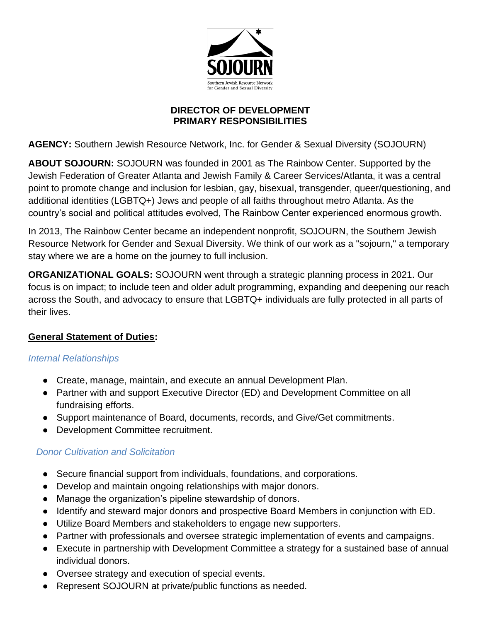

### **DIRECTOR OF DEVELOPMENT PRIMARY RESPONSIBILITIES**

**AGENCY:** Southern Jewish Resource Network, Inc. for Gender & Sexual Diversity (SOJOURN)

**ABOUT SOJOURN:** SOJOURN was founded in 2001 as The Rainbow Center. Supported by the Jewish Federation of Greater Atlanta and Jewish Family & Career Services/Atlanta, it was a central point to promote change and inclusion for lesbian, gay, bisexual, transgender, queer/questioning, and additional identities (LGBTQ+) Jews and people of all faiths throughout metro Atlanta. As the country's social and political attitudes evolved, The Rainbow Center experienced enormous growth.

In 2013, The Rainbow Center became an independent nonprofit, SOJOURN, the Southern Jewish Resource Network for Gender and Sexual Diversity. We think of our work as a "sojourn," a temporary stay where we are a home on the journey to full inclusion.

**ORGANIZATIONAL GOALS:** SOJOURN went through a strategic planning process in 2021. Our focus is on impact; to include teen and older adult programming, expanding and deepening our reach across the South, and advocacy to ensure that LGBTQ+ individuals are fully protected in all parts of their lives.

# **General Statement of Duties:**

### *Internal Relationships*

- Create, manage, maintain, and execute an annual Development Plan.
- Partner with and support Executive Director (ED) and Development Committee on all fundraising efforts.
- Support maintenance of Board, documents, records, and Give/Get commitments.
- Development Committee recruitment.

# *Donor Cultivation and Solicitation*

- Secure financial support from individuals, foundations, and corporations.
- Develop and maintain ongoing relationships with major donors.
- Manage the organization's pipeline stewardship of donors.
- Identify and steward major donors and prospective Board Members in conjunction with ED.
- Utilize Board Members and stakeholders to engage new supporters.
- Partner with professionals and oversee strategic implementation of events and campaigns.
- Execute in partnership with Development Committee a strategy for a sustained base of annual individual donors.
- Oversee strategy and execution of special events.
- Represent SOJOURN at private/public functions as needed.